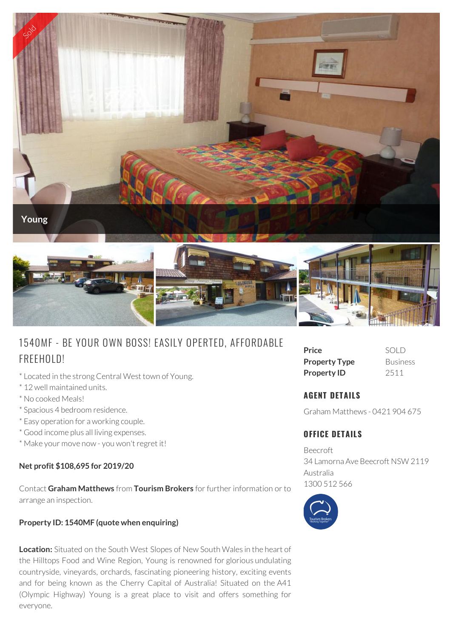

# 1540MF - BE YOUR OWN BOSS! EASILY OPERTED, AFFORDABLE FREEHOLD!

- \* Located in the strong Central West town of Young.
- \* 12 well maintained units.
- \* No cooked Meals!
- \* Spacious 4 bedroom residence.
- \* Easy operation for a working couple.
- \* Good income plus all living expenses.
- \* Make your move now you won't regret it!

#### **Net profit \$108,695 for 2019/20**

Contact **Graham Matthews** from **Tourism Brokers** for further information or to arrange an inspection.

#### **Property ID: 1540MF (quote when enquiring)**

**Location:** Situated on the South West Slopes of New South Wales in the heart of the Hilltops Food and Wine Region, Young is renowned for glorious undulating countryside, vineyards, orchards, fascinating pioneering history, exciting events and for being known as the Cherry Capital of Australia! Situated on the A41 (Olympic Highway) Young is a great place to visit and offers something for everyone.

| Price                | SOLD            |
|----------------------|-----------------|
| <b>Property Type</b> | <b>Business</b> |
| <b>Property ID</b>   | 2511            |

## **AGENT DETAILS**

Graham Matthews - 0421 904 675

### **OFFICE DETAILS**

Beecroft 34 Lamorna Ave Beecroft NSW 2119 Australia 1300 512 566